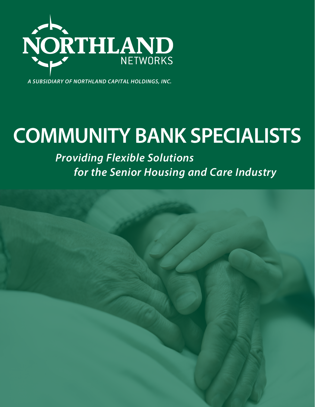

*A SUBSIDIARY OF NORTHLAND CAPITAL HOLDINGS, INC.*

# **COMMUNITY BANK SPECIALISTS**

 *Providing Flexible Solutions for the Senior Housing and Care Industry*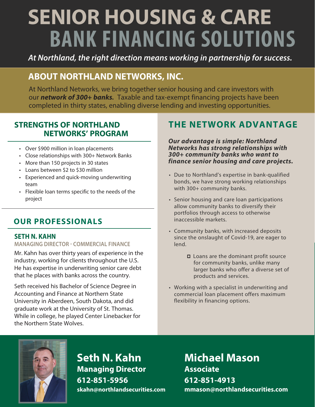# **BANK FINANCING SOLUTIONS SENIOR HOUSING & CARE**

*At Northland, the right direction means working in partnership for success.*

## **ABOUT NORTHLAND NETWORKS, INC.**

At Northland Networks, we bring together senior housing and care investors with our *network of 300+ banks.* Taxable and tax-exempt financing projects have been completed in thirty states, enabling diverse lending and investing opportunities.

#### **STRENGTHS OF NORTHLAND NETWORKS' PROGRAM**

- Over \$900 million in loan placements
- Close relationships with 300+ Network Banks
- More than 150 projects in 30 states
- Loans between \$2 to \$30 million
- Experienced and quick-moving underwriting team
- Flexible loan terms specific to the needs of the project

#### **OUR PROFESSIONALS**

#### **SETH N. KAHN**

#### **MANAGING DIRECTOR - COMMERCIAL FINANCE**

Mr. Kahn has over thirty years of experience in the industry, working for clients throughout the U.S. He has expertise in underwriting senior care debt that he places with banks across the country.

Seth received his Bachelor of Science Degree in Accounting and Finance at Northern State University in Aberdeen, South Dakota, and did graduate work at the University of St. Thomas. While in college, he played Center Linebacker for the Northern State Wolves.

### **THE NETWORK ADVANTAGE**

*Our advantage is simple: Northland Networks has strong relationships with 300+ community banks who want to finance senior housing and care projects.*

- Due to Northland's expertise in bank-qualified bonds, we have strong working relationships with 300+ community banks.
- Senior housing and care loan participations allow community banks to diversify their portfolios through access to otherwise inaccessible markets.
- Community banks, with increased deposits since the onslaught of Covid-19, are eager to lend.
	- □ Loans are the dominant profit source for community banks, unlike many larger banks who offer a diverse set of products and services.
- Working with a specialist in underwriting and commercial loan placement offers maximum flexibility in financing options.



**Seth N. Kahn Managing Director 612-851-5956 skahn@northlandsecurities.com**

**Michael Mason Associate 612-851-4913 mmason@northlandsecurities.com**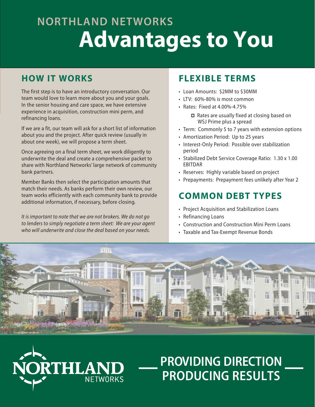# **NORTHLAND NETWORKS Advantages to You**

#### **HOW IT WORKS**

The first step is to have an introductory conversation. Our team would love to learn more about you and your goals. In the senior housing and care space, we have extensive experience in acquisition, construction mini perm, and refinancing loans.

If we are a fit, our team will ask for a short list of information about you and the project. After quick review (usually in about one week), we will propose a term sheet.

Once agreeing on a final term sheet, we work diligently to underwrite the deal and create a comprehensive packet to share with Northland Networks' large network of community bank partners.

Member Banks then select the participation amounts that match their needs. As banks perform their own review, our team works efficiently with each community bank to provide additional information, if necessary, before closing.

*It is important to note that we are not brokers. We do not go to lenders to simply negotiate a term sheet: We are your agent who will underwrite and close the deal based on your needs.* 

RIHLAN

**NETWORKS** 

### **FLEXIBLE TERMS**

- Loan Amounts: \$2MM to \$30MM
- LTV: 60%-80% is most common
- Rates: Fixed at 4.00%-4.75%
	- □ Rates are usually fixed at closing based on WSJ Prime plus a spread
- Term: Commonly 5 to 7 years with extension options
- Amortization Period: Up to 25 years
- Interest-Only Period: Possible over stabilization period
- Stabilized Debt Service Coverage Ratio: 1.30 x 1.00 EBITDAR
- Reserves: Highly variable based on project
- Prepayments: Prepayment fees unlikely after Year 2

### **COMMON DEBT TYPES**

- Project Acquisition and Stabilization Loans
- Refinancing Loans
- Construction and Construction Mini Perm Loans
- Taxable and Tax-Exempt Revenue Bonds

PROVIDING DIRECTION

PRODUCING RESULTS